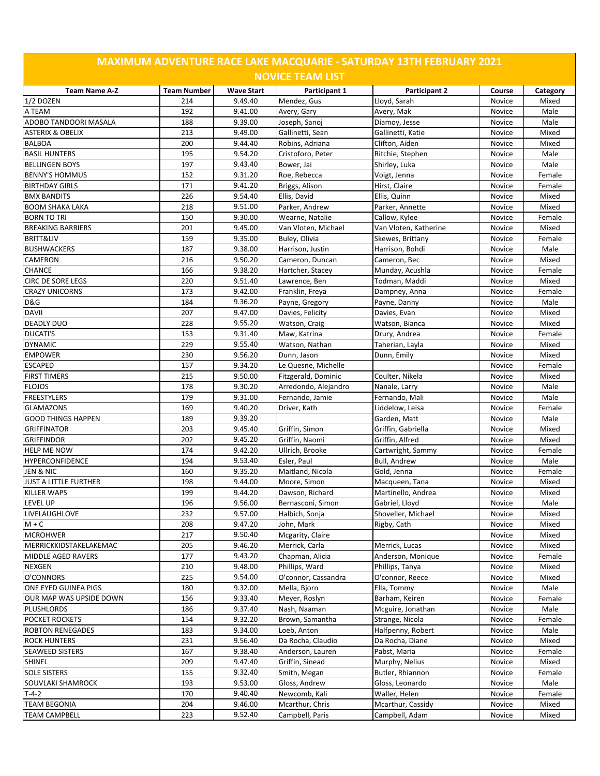| <b>MAXIMUM ADVENTURE RACE LAKE MACQUARIE - SATURDAY 13TH FEBRUARY 2021</b> |                    |                   |                         |                       |        |          |  |  |  |  |
|----------------------------------------------------------------------------|--------------------|-------------------|-------------------------|-----------------------|--------|----------|--|--|--|--|
|                                                                            |                    |                   | <b>NOVICE TEAM LIST</b> |                       |        |          |  |  |  |  |
| <b>Team Name A-Z</b>                                                       | <b>Team Number</b> | <b>Wave Start</b> | Participant 1           | Participant 2         | Course | Category |  |  |  |  |
| $1/2$ DOZEN                                                                | 214                | 9.49.40           | Mendez, Gus             | Lloyd, Sarah          | Novice | Mixed    |  |  |  |  |
| A TEAM                                                                     | 192                | 9.41.00           | Avery, Gary             | Avery, Mak            | Novice | Male     |  |  |  |  |
| ADOBO TANDOORI MASALA                                                      | 188                | 9.39.00           | Joseph, Sanoi           | Diamoy, Jesse         | Novice | Male     |  |  |  |  |
| <b>ASTERIX &amp; OBELIX</b>                                                | 213                | 9.49.00           | Gallinetti, Sean        | Gallinetti, Katie     | Novice | Mixed    |  |  |  |  |
| <b>BALBOA</b>                                                              | 200                | 9.44.40           | Robins, Adriana         | Clifton, Aiden        | Novice | Mixed    |  |  |  |  |
| <b>BASIL HUNTERS</b>                                                       | 195                | 9.54.20           | Cristoforo, Peter       | Ritchie, Stephen      | Novice | Male     |  |  |  |  |
| <b>BELLINGEN BOYS</b>                                                      | 197                | 9.43.40           | Bower, Jai              | Shirley, Luka         | Novice | Male     |  |  |  |  |
| <b>BENNY'S HOMMUS</b>                                                      | 152                | 9.31.20           | Roe, Rebecca            | Voigt, Jenna          | Novice | Female   |  |  |  |  |
| <b>BIRTHDAY GIRLS</b>                                                      | 171                | 9.41.20           | Briggs, Alison          | Hirst, Claire         | Novice | Female   |  |  |  |  |
| <b>BMX BANDITS</b>                                                         | 226                | 9.54.40           | Ellis, David            | Ellis, Quinn          | Novice | Mixed    |  |  |  |  |
| <b>BOOM SHAKA LAKA</b>                                                     | 218                | 9.51.00           | Parker, Andrew          | Parker, Annette       | Novice | Mixed    |  |  |  |  |
| <b>BORN TO TRI</b>                                                         | 150                | 9.30.00           | Wearne, Natalie         | Callow, Kylee         | Novice | Female   |  |  |  |  |
| <b>BREAKING BARRIERS</b>                                                   | 201                | 9.45.00           | Van Vloten, Michael     | Van Vloten, Katherine | Novice | Mixed    |  |  |  |  |
| <b>BRITT&amp;LIV</b>                                                       | 159                | 9.35.00           | Buley, Olivia           | Skewes, Brittany      | Novice | Female   |  |  |  |  |
| <b>BUSHWACKERS</b>                                                         | 187                | 9.38.00           | Harrison, Justin        | Harrison, Bohdi       | Novice | Male     |  |  |  |  |
| CAMERON                                                                    | 216                | 9.50.20           | Cameron, Duncan         | Cameron, Bec          | Novice | Mixed    |  |  |  |  |
| <b>CHANCE</b>                                                              | 166                | 9.38.20           | Hartcher, Stacey        | Munday, Acushla       | Novice | Female   |  |  |  |  |
| <b>CIRC DE SORE LEGS</b>                                                   | 220                | 9.51.40           | Lawrence, Ben           | Todman, Maddi         | Novice | Mixed    |  |  |  |  |
| <b>CRAZY UNICORNS</b>                                                      | 173                | 9.42.00           | Franklin, Freya         | Dampney, Anna         | Novice | Female   |  |  |  |  |
| <b>D&amp;G</b>                                                             | 184                | 9.36.20           | Payne, Gregory          | Payne, Danny          | Novice | Male     |  |  |  |  |
| <b>DAVII</b>                                                               | 207                | 9.47.00           | Davies, Felicity        | Davies, Evan          | Novice | Mixed    |  |  |  |  |
| <b>DEADLY DUO</b>                                                          | 228                | 9.55.20           | Watson, Craig           | Watson, Bianca        | Novice | Mixed    |  |  |  |  |
| <b>DUCATI'S</b>                                                            | 153                | 9.31.40           | Maw, Katrina            |                       | Novice | Female   |  |  |  |  |
| <b>DYNAMIC</b>                                                             | 229                | 9.55.40           |                         | Drury, Andrea         |        |          |  |  |  |  |
|                                                                            |                    |                   | Watson, Nathan          | Taherian, Layla       | Novice | Mixed    |  |  |  |  |
| <b>EMPOWER</b>                                                             | 230                | 9.56.20           | Dunn, Jason             | Dunn, Emily           | Novice | Mixed    |  |  |  |  |
| <b>ESCAPED</b>                                                             | 157                | 9.34.20           | Le Quesne, Michelle     |                       | Novice | Female   |  |  |  |  |
| <b>FIRST TIMERS</b>                                                        | 215                | 9.50.00           | Fitzgerald, Dominic     | Coulter, Nikela       | Novice | Mixed    |  |  |  |  |
| <b>FLOJOS</b>                                                              | 178                | 9.30.20           | Arredondo, Alejandro    | Nanale, Larry         | Novice | Male     |  |  |  |  |
| <b>FREESTYLERS</b>                                                         | 179                | 9.31.00           | Fernando, Jamie         | Fernando, Mali        | Novice | Male     |  |  |  |  |
| <b>GLAMAZONS</b>                                                           | 169                | 9.40.20           | Driver, Kath            | Liddelow, Leisa       | Novice | Female   |  |  |  |  |
| <b>GOOD THINGS HAPPEN</b>                                                  | 189                | 9.39.20           |                         | Garden, Matt          | Novice | Male     |  |  |  |  |
| <b>GRIFFINATOR</b>                                                         | 203                | 9.45.40           | Griffin, Simon          | Griffin, Gabriella    | Novice | Mixed    |  |  |  |  |
| <b>GRIFFINDOR</b>                                                          | 202                | 9.45.20           | Griffin, Naomi          | Griffin, Alfred       | Novice | Mixed    |  |  |  |  |
| <b>HELP ME NOW</b>                                                         | 174                | 9.42.20           | Ullrich, Brooke         | Cartwright, Sammy     | Novice | Female   |  |  |  |  |
| <b>HYPERCONFIDENCE</b>                                                     | 194                | 9.53.40           | Esler, Paul             | <b>Bull, Andrew</b>   | Novice | Male     |  |  |  |  |
| JEN & NIC                                                                  | 160                | 9.35.20           | Maitland, Nicola        | Gold, Jenna           | Novice | Female   |  |  |  |  |
| JUST A LITTLE FURTHER                                                      | 198                | 9.44.00           | Moore, Simon            | Macqueen, Tana        | Novice | Mixed    |  |  |  |  |
| KILLER WAPS                                                                | 199                | 9.44.20           | Dawson, Richard         | Martinello, Andrea    | Novice | Mixed    |  |  |  |  |
| LEVEL UP                                                                   | 196                | 9.56.00           | Bernasconi, Simon       | Gabriel, Lloyd        | Novice | Male     |  |  |  |  |
| LIVELAUGHLOVE                                                              | 232                | 9.57.00           | Halbich, Sonja          | Shoveller, Michael    | Novice | Mixed    |  |  |  |  |
| $M + C$                                                                    | 208                | 9.47.20           | John, Mark              | Rigby, Cath           | Novice | Mixed    |  |  |  |  |
| <b>MCROHWER</b>                                                            | 217                | 9.50.40           | Mcgarity, Claire        |                       | Novice | Mixed    |  |  |  |  |
| MERRICKKIDSTAKELAKEMAC                                                     | 205                | 9.46.20           | Merrick, Carla          | Merrick, Lucas        | Novice | Mixed    |  |  |  |  |
| <b>MIDDLE AGED RAVERS</b>                                                  | 177                | 9.43.20           | Chapman, Alicia         | Anderson, Monique     | Novice | Female   |  |  |  |  |
| <b>NEXGEN</b>                                                              | 210                | 9.48.00           | Phillips, Ward          | Phillips, Tanya       | Novice | Mixed    |  |  |  |  |
| O'CONNORS                                                                  | 225                | 9.54.00           | O'connor, Cassandra     | O'connor, Reece       | Novice | Mixed    |  |  |  |  |
| ONE EYED GUINEA PIGS                                                       | 180                | 9.32.00           | Mella, Bjorn            | Ella, Tommy           | Novice | Male     |  |  |  |  |
| OUR MAP WAS UPSIDE DOWN                                                    | 156                | 9.33.40           | Meyer, Roslyn           | Barham, Keiren        | Novice | Female   |  |  |  |  |
| <b>PLUSHLORDS</b>                                                          | 186                | 9.37.40           | Nash, Naaman            | Mcguire, Jonathan     | Novice | Male     |  |  |  |  |
| <b>POCKET ROCKETS</b>                                                      | 154                | 9.32.20           | Brown, Samantha         | Strange, Nicola       | Novice | Female   |  |  |  |  |
| <b>ROBTON RENEGADES</b>                                                    | 183                | 9.34.00           | Loeb, Anton             | Halfpenny, Robert     | Novice | Male     |  |  |  |  |
| <b>ROCK HUNTERS</b>                                                        | 231                | 9.56.40           | Da Rocha, Claudio       | Da Rocha, Diane       | Novice | Mixed    |  |  |  |  |
| <b>SEAWEED SISTERS</b>                                                     | 167                | 9.38.40           | Anderson, Lauren        | Pabst, Maria          | Novice | Female   |  |  |  |  |
| SHINEL                                                                     | 209                | 9.47.40           | Griffin, Sinead         | Murphy, Nelius        | Novice | Mixed    |  |  |  |  |
| <b>SOLE SISTERS</b>                                                        | 155                | 9.32.40           | Smith, Megan            | Butler, Rhiannon      | Novice | Female   |  |  |  |  |
| SOUVLAKI SHAMROCK                                                          | 193                | 9.53.00           | Gloss, Andrew           | Gloss, Leonardo       | Novice | Male     |  |  |  |  |
| $T-4-2$                                                                    | 170                | 9.40.40           | Newcomb, Kali           | Waller, Helen         | Novice | Female   |  |  |  |  |
| <b>TEAM BEGONIA</b>                                                        | 204                | 9.46.00           | Mcarthur, Chris         | Mcarthur, Cassidy     | Novice | Mixed    |  |  |  |  |
| <b>TEAM CAMPBELL</b>                                                       | 223                | 9.52.40           | Campbell, Paris         | Campbell, Adam        | Novice | Mixed    |  |  |  |  |